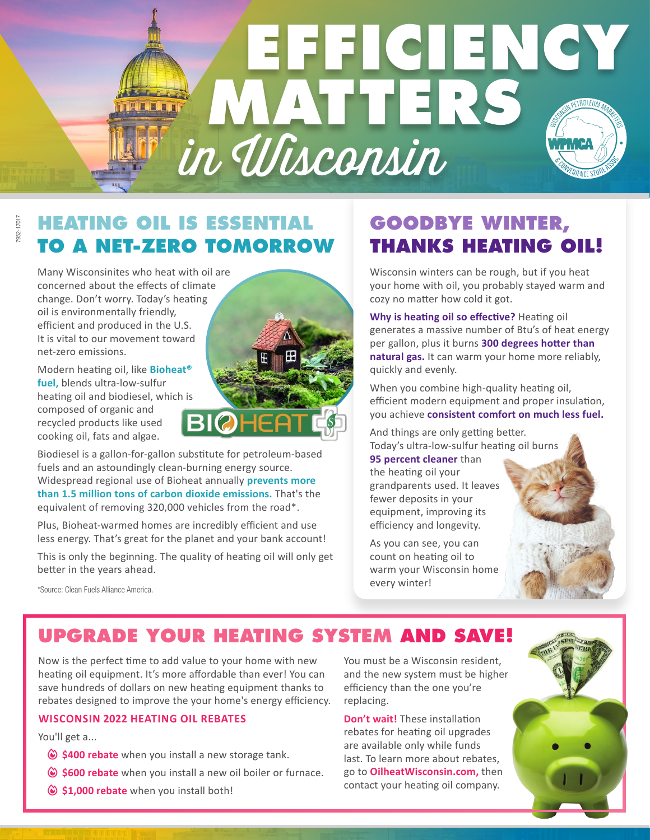# **EFFICIENCY MATTERS** LEET in Wisconsin

#### 7952-17017 7952-17017

#### **HEATING OIL IS ESSENTIAL TO A NET-ZERO TOMORROW**

Many Wisconsinites who heat with oil are concerned about the effects of climate change. Don't worry. Today's heating oil is environmentally friendly, efficient and produced in the U.S. It is vital to our movement toward net-zero emissions.

Modern heating oil, like **Bioheat® fuel,** blends ultra-low-sulfur heating oil and biodiesel, which is composed of organic and recycled products like used cooking oil, fats and algae.

Biodiesel is a gallon-for-gallon substitute for petroleum-based fuels and an astoundingly clean-burning energy source. Widespread regional use of Bioheat annually **prevents more than 1.5 million tons of carbon dioxide emissions.** That's the equivalent of removing 320,000 vehicles from the road\*.

Plus, Bioheat-warmed homes are incredibly efficient and use less energy. That's great for the planet and your bank account!

This is only the beginning. The quality of heating oil will only get better in the years ahead.

\*Source: Clean Fuels Alliance America.

### **GOODBYE WINTER, THANKS HEATING OIL!**

Wisconsin winters can be rough, but if you heat your home with oil, you probably stayed warm and cozy no matter how cold it got.

**Why is heating oil so effective?** Heating oil generates a massive number of Btu's of heat energy per gallon, plus it burns **300 degrees hotter than natural gas.** It can warm your home more reliably, quickly and evenly.

When you combine high-quality heating oil, efficient modern equipment and proper insulation, you achieve **consistent comfort on much less fuel.**

And things are only getting better. Today's ultra-low-sulfur heating oil burns

**95 percent cleaner** than the heating oil your grandparents used. It leaves fewer deposits in your equipment, improving its efficiency and longevity.

As you can see, you can count on heating oil to warm your Wisconsin home every winter!

## **UPGRADE YOUR HEATING SYSTEM AND SAVE!**

Now is the perfect time to add value to your home with new heating oil equipment. It's more affordable than ever! You can save hundreds of dollars on new heating equipment thanks to rebates designed to improve the your home's energy efficiency.

#### **WISCONSIN 2022 HEATING OIL REBATES**

You'll get a...

- $\circledcirc$  \$400 rebate when you install a new storage tank.
- $\circledcirc$  \$600 rebate when you install a new oil boiler or furnace.
- $\circledcirc$  \$1,000 rebate when you install both!

You must be a Wisconsin resident, and the new system must be higher efficiency than the one you're replacing.

**Don't wait!** These installation rebates for heating oil upgrades are available only while funds last. To learn more about rebates, go to **OilheatWisconsin.com,** then contact your heating oil company.